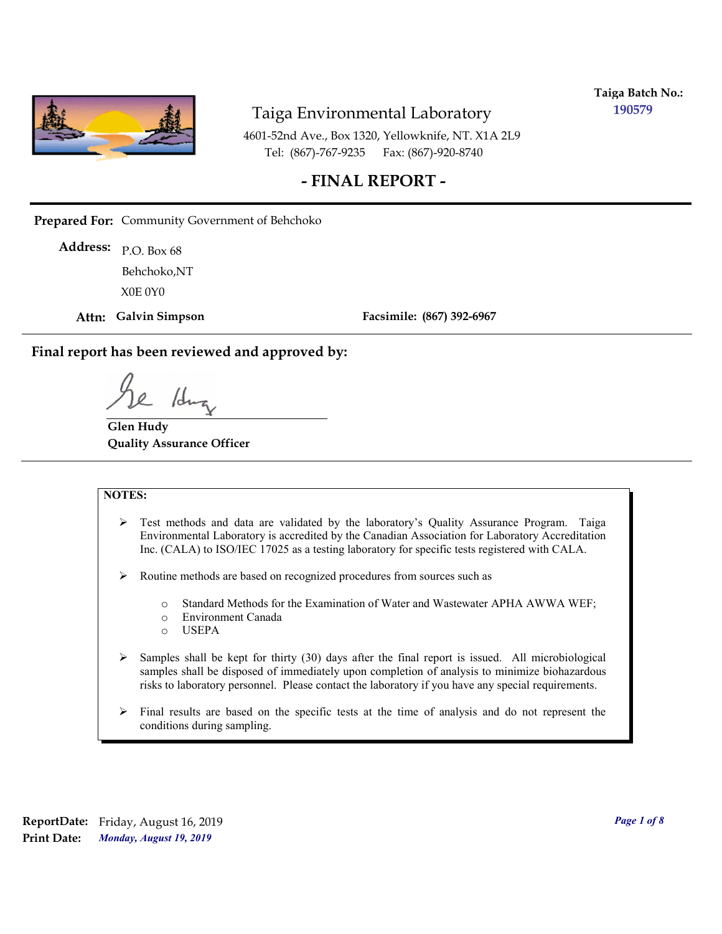

**Taiga Batch No.: 190579**

4601-52nd Ave., Box 1320, Yellowknife, NT. X1A 2L9 Tel: (867)-767-9235 Fax: (867)-920-8740

#### **- FINAL REPORT -**

**Prepared For:** Community Government of Behchoko

P.O. Box 68 **Address:** X0E 0Y0 Behchoko,NT

**Attn: Galvin Simpson**

**Facsimile: (867) 392-6967**

**Final report has been reviewed and approved by:**

1dr

**Glen Hudy Quality Assurance Officer**

#### **NOTES:**

- $\triangleright$  Test methods and data are validated by the laboratory's Quality Assurance Program. Taiga Environmental Laboratory is accredited by the Canadian Association for Laboratory Accreditation Inc. (CALA) to ISO/IEC 17025 as a testing laboratory for specific tests registered with CALA.
- Routine methods are based on recognized procedures from sources such as
	- o Standard Methods for the Examination of Water and Wastewater APHA AWWA WEF;
	- o Environment Canada
	- o USEPA
- $\triangleright$  Samples shall be kept for thirty (30) days after the final report is issued. All microbiological samples shall be disposed of immediately upon completion of analysis to minimize biohazardous risks to laboratory personnel. Please contact the laboratory if you have any special requirements.
- $\triangleright$  Final results are based on the specific tests at the time of analysis and do not represent the conditions during sampling.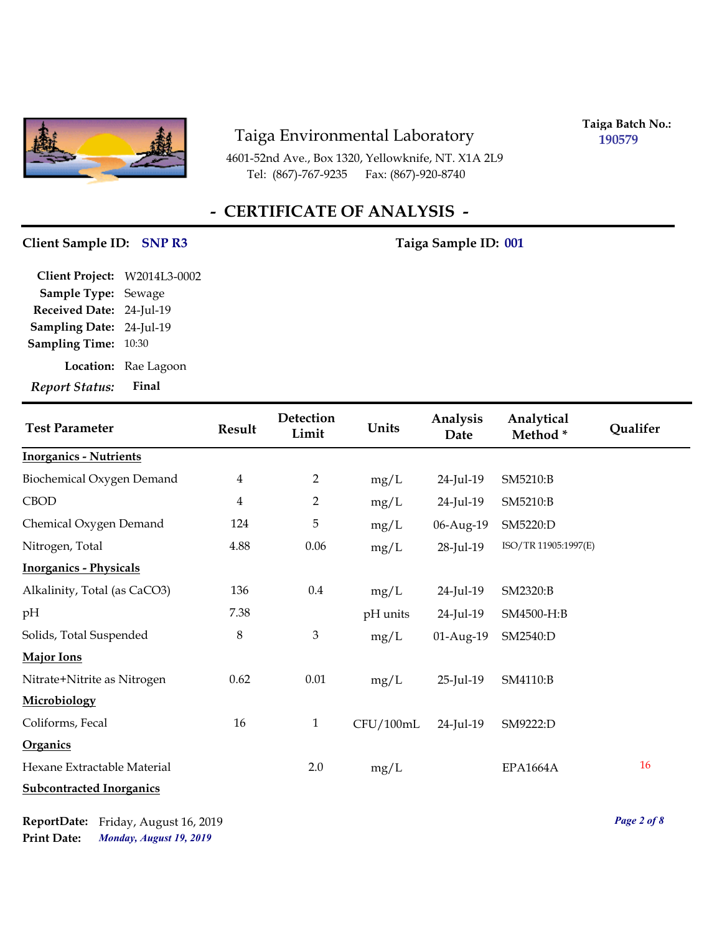

4601-52nd Ave., Box 1320, Yellowknife, NT. X1A 2L9 Tel: (867)-767-9235

**Taiga Batch No.: 190579**

# **- CERTIFICATE OF ANALYSIS -**

#### **Client Sample ID: SNP R3** Taiga Sample ID: 001

| <b>Report Status:</b>        | Final      |
|------------------------------|------------|
| Location:                    | Rae Lagoon |
| <b>Sampling Time:</b>        | 10:30      |
| Sampling Date: 24-Jul-19     |            |
| Received Date: 24-Jul-19     |            |
| <b>Sample Type: Sewage</b>   |            |
| Client Project: W2014L3-0002 |            |

| <b>Test Parameter</b>           | <b>Result</b>  | Detection<br>Limit | Units     | Analysis<br>Date | Analytical<br>Method* | <b>Qualifer</b> |
|---------------------------------|----------------|--------------------|-----------|------------------|-----------------------|-----------------|
| <b>Inorganics - Nutrients</b>   |                |                    |           |                  |                       |                 |
| Biochemical Oxygen Demand       | $\overline{4}$ | $\overline{2}$     | mg/L      | 24-Jul-19        | SM5210:B              |                 |
| <b>CBOD</b>                     | $\overline{4}$ | $\overline{2}$     | mg/L      | 24-Jul-19        | SM5210:B              |                 |
| Chemical Oxygen Demand          | 124            | 5                  | mg/L      | 06-Aug-19        | SM5220:D              |                 |
| Nitrogen, Total                 | 4.88           | 0.06               | mg/L      | 28-Jul-19        | ISO/TR 11905:1997(E)  |                 |
| <b>Inorganics - Physicals</b>   |                |                    |           |                  |                       |                 |
| Alkalinity, Total (as CaCO3)    | 136            | $0.4\,$            | mg/L      | 24-Jul-19        | SM2320:B              |                 |
| pH                              | 7.38           |                    | pH units  | 24-Jul-19        | SM4500-H:B            |                 |
| Solids, Total Suspended         | $\,8\,$        | $\mathfrak{Z}$     | mg/L      | 01-Aug-19        | SM2540:D              |                 |
| <b>Major Ions</b>               |                |                    |           |                  |                       |                 |
| Nitrate+Nitrite as Nitrogen     | 0.62           | 0.01               | mg/L      | 25-Jul-19        | SM4110:B              |                 |
| Microbiology                    |                |                    |           |                  |                       |                 |
| Coliforms, Fecal                | 16             | $\mathbf{1}$       | CFU/100mL | 24-Jul-19        | SM9222:D              |                 |
| <b>Organics</b>                 |                |                    |           |                  |                       |                 |
| Hexane Extractable Material     |                | 2.0                | mg/L      |                  | <b>EPA1664A</b>       | 16              |
| <b>Subcontracted Inorganics</b> |                |                    |           |                  |                       |                 |

*Monday, August 19, 2019* **Print Date: ReportDate:** Friday, August 16, 2019 *Page 2 of 8*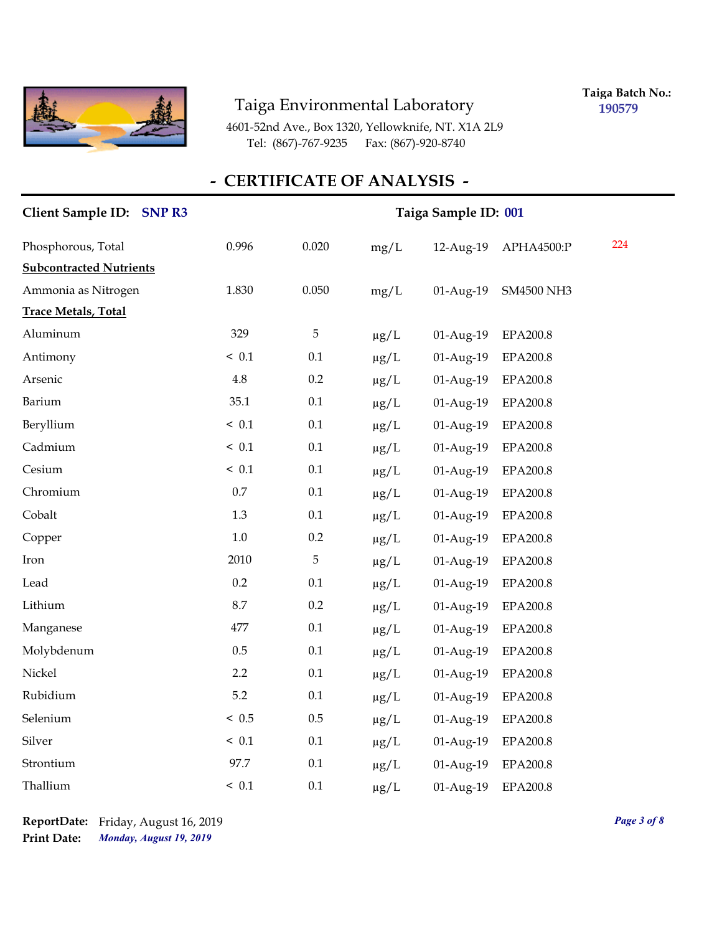

**Taiga Batch No.: 190579**

4601-52nd Ave., Box 1320, Yellowknife, NT. X1A 2L9 Tel: (867)-767-9235 Fax: (867)-920-8740

## **- CERTIFICATE OF ANALYSIS -**

| Client Sample ID: SNP R3       | Taiga Sample ID: 001 |         |           |           |                   |     |
|--------------------------------|----------------------|---------|-----------|-----------|-------------------|-----|
| Phosphorous, Total             | 0.996                | 0.020   | mg/L      | 12-Aug-19 | APHA4500:P        | 224 |
| <b>Subcontracted Nutrients</b> |                      |         |           |           |                   |     |
| Ammonia as Nitrogen            | 1.830                | 0.050   | mg/L      | 01-Aug-19 | <b>SM4500 NH3</b> |     |
| <b>Trace Metals, Total</b>     |                      |         |           |           |                   |     |
| Aluminum                       | 329                  | 5       | $\mu g/L$ | 01-Aug-19 | EPA200.8          |     |
| Antimony                       | ~< 0.1               | 0.1     | $\mu g/L$ | 01-Aug-19 | <b>EPA200.8</b>   |     |
| Arsenic                        | 4.8                  | 0.2     | $\mu g/L$ | 01-Aug-19 | <b>EPA200.8</b>   |     |
| Barium                         | 35.1                 | $0.1\,$ | $\mu g/L$ | 01-Aug-19 | <b>EPA200.8</b>   |     |
| Beryllium                      | ~< 0.1               | 0.1     | $\mu g/L$ | 01-Aug-19 | <b>EPA200.8</b>   |     |
| Cadmium                        | ~< 0.1               | 0.1     | $\mu g/L$ | 01-Aug-19 | EPA200.8          |     |
| Cesium                         | ~< 0.1               | $0.1\,$ | $\mu g/L$ | 01-Aug-19 | EPA200.8          |     |
| Chromium                       | $0.7\,$              | $0.1\,$ | $\mu g/L$ | 01-Aug-19 | EPA200.8          |     |
| Cobalt                         | 1.3                  | 0.1     | $\mu g/L$ | 01-Aug-19 | EPA200.8          |     |
| Copper                         | $1.0\,$              | 0.2     | $\mu$ g/L | 01-Aug-19 | <b>EPA200.8</b>   |     |
| Iron                           | 2010                 | 5       | $\mu g/L$ | 01-Aug-19 | <b>EPA200.8</b>   |     |
| Lead                           | 0.2                  | $0.1\,$ | $\mu g/L$ | 01-Aug-19 | <b>EPA200.8</b>   |     |
| Lithium                        | 8.7                  | 0.2     | $\mu g/L$ | 01-Aug-19 | <b>EPA200.8</b>   |     |
| Manganese                      | 477                  | 0.1     | $\mu g/L$ | 01-Aug-19 | <b>EPA200.8</b>   |     |
| Molybdenum                     | 0.5                  | 0.1     | $\mu g/L$ | 01-Aug-19 | <b>EPA200.8</b>   |     |
| Nickel                         | 2.2                  | $0.1\,$ | $\mu$ g/L | 01-Aug-19 | <b>EPA200.8</b>   |     |
| Rubidium                       | 5.2                  | 0.1     | $\mu g/L$ | 01-Aug-19 | <b>EPA200.8</b>   |     |
| Selenium                       | ~< 0.5               | 0.5     | $\mu$ g/L | 01-Aug-19 | <b>EPA200.8</b>   |     |
| Silver                         | ~< 0.1               | 0.1     | $\mu g/L$ | 01-Aug-19 | <b>EPA200.8</b>   |     |
| Strontium                      | 97.7                 | $0.1\,$ | $\mu$ g/L | 01-Aug-19 | EPA200.8          |     |
| Thallium                       | ~< 0.1               | 0.1     | $\mu$ g/L | 01-Aug-19 | <b>EPA200.8</b>   |     |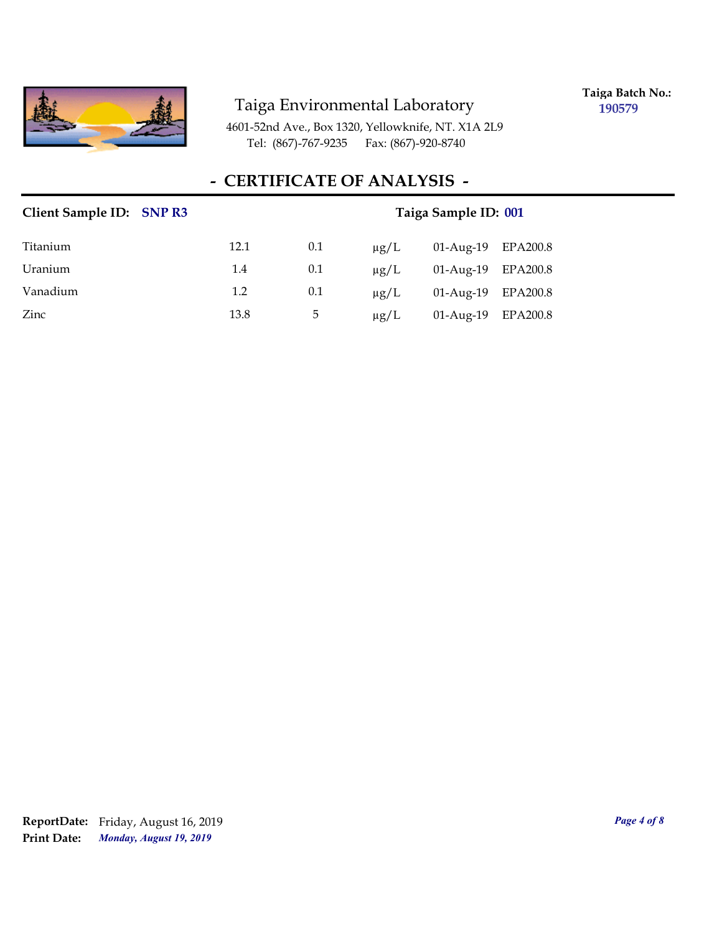

**Taiga Batch No.: 190579**

4601-52nd Ave., Box 1320, Yellowknife, NT. X1A 2L9 Tel: (867)-767-9235 Fax: (867)-920-8740

### **- CERTIFICATE OF ANALYSIS -**

| Client Sample ID: SNP R3 |      | Taiga Sample ID: 001 |           |              |          |  |  |
|--------------------------|------|----------------------|-----------|--------------|----------|--|--|
| Titanium                 | 12.1 | 0.1                  | $\mu$ g/L | 01-Aug-19    | EPA200.8 |  |  |
| Uranium                  | 1.4  | 0.1                  | $\mu$ g/L | $01-Aug-19$  | EPA200.8 |  |  |
| Vanadium                 | 1.2  | 0.1                  | $\mu$ g/L | $01$ -Aug-19 | EPA200.8 |  |  |
| Zinc                     | 13.8 | 5                    | $\mu$ g/L | $01-Aug-19$  | EPA200.8 |  |  |

*Monday, August 19, 2019* **Print Date: ReportDate:** Friday, August 16, 2019 *Page 4 of 8*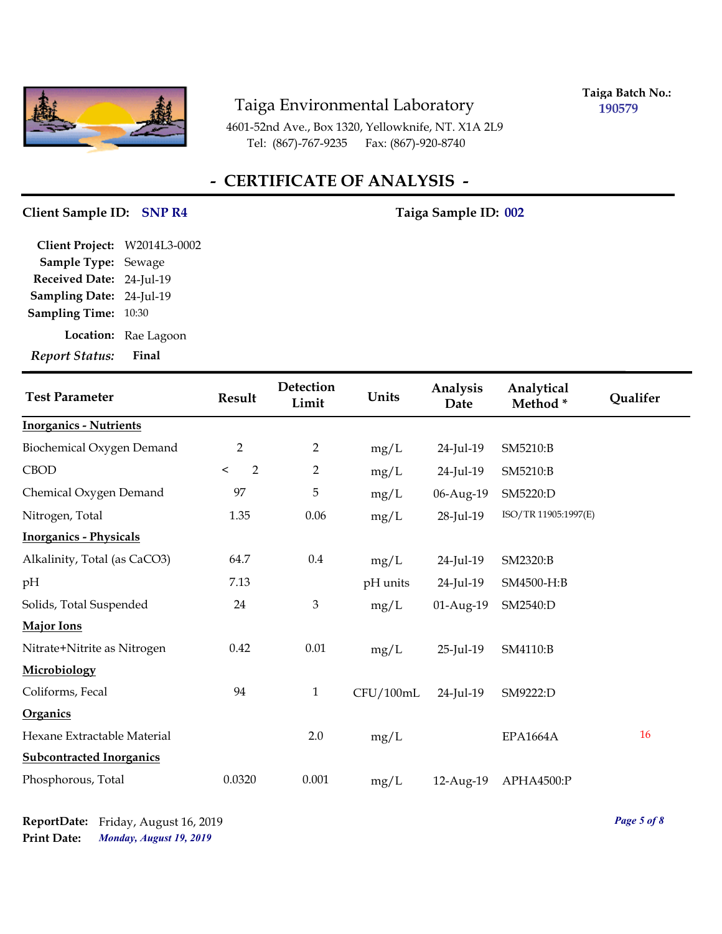

**Taiga Batch No.: 190579**

4601-52nd Ave., Box 1320, Yellowknife, NT. X1A 2L9 Tel: (867)-767-9235 Fax: (867)-920-8740

# **- CERTIFICATE OF ANALYSIS -**

#### Client Sample ID: SNP R4 Taiga Sample ID: 002

| <b>Report Status:</b>        | Final                |
|------------------------------|----------------------|
|                              | Location: Rae Lagoon |
| <b>Sampling Time:</b>        | 10:30                |
| Sampling Date: 24-Jul-19     |                      |
| Received Date: 24-Jul-19     |                      |
| Sample Type: Sewage          |                      |
| Client Project: W2014L3-0002 |                      |

| <b>Test Parameter</b>           | Result         | Detection<br>Limit | Units     | Analysis<br>Date | Analytical<br>Method* | Qualifer |
|---------------------------------|----------------|--------------------|-----------|------------------|-----------------------|----------|
| <b>Inorganics - Nutrients</b>   |                |                    |           |                  |                       |          |
| Biochemical Oxygen Demand       | $\overline{2}$ | $\overline{2}$     | mg/L      | 24-Jul-19        | SM5210:B              |          |
| <b>CBOD</b>                     | 2<br>$\,<\,$   | $\overline{2}$     | mg/L      | 24-Jul-19        | SM5210:B              |          |
| Chemical Oxygen Demand          | 97             | 5                  | mg/L      | 06-Aug-19        | SM5220:D              |          |
| Nitrogen, Total                 | 1.35           | 0.06               | mg/L      | 28-Jul-19        | ISO/TR 11905:1997(E)  |          |
| <b>Inorganics - Physicals</b>   |                |                    |           |                  |                       |          |
| Alkalinity, Total (as CaCO3)    | 64.7           | $0.4\,$            | mg/L      | 24-Jul-19        | SM2320:B              |          |
| pH                              | 7.13           |                    | pH units  | 24-Jul-19        | SM4500-H:B            |          |
| Solids, Total Suspended         | 24             | $\mathfrak{Z}$     | mg/L      | 01-Aug-19        | SM2540:D              |          |
| Major Ions                      |                |                    |           |                  |                       |          |
| Nitrate+Nitrite as Nitrogen     | 0.42           | 0.01               | mg/L      | 25-Jul-19        | SM4110:B              |          |
| Microbiology                    |                |                    |           |                  |                       |          |
| Coliforms, Fecal                | 94             | $\mathbf{1}$       | CFU/100mL | 24-Jul-19        | SM9222:D              |          |
| Organics                        |                |                    |           |                  |                       |          |
| Hexane Extractable Material     |                | 2.0                | mg/L      |                  | <b>EPA1664A</b>       | 16       |
| <b>Subcontracted Inorganics</b> |                |                    |           |                  |                       |          |
| Phosphorous, Total              | 0.0320         | 0.001              | mg/L      | 12-Aug-19        | APHA4500:P            |          |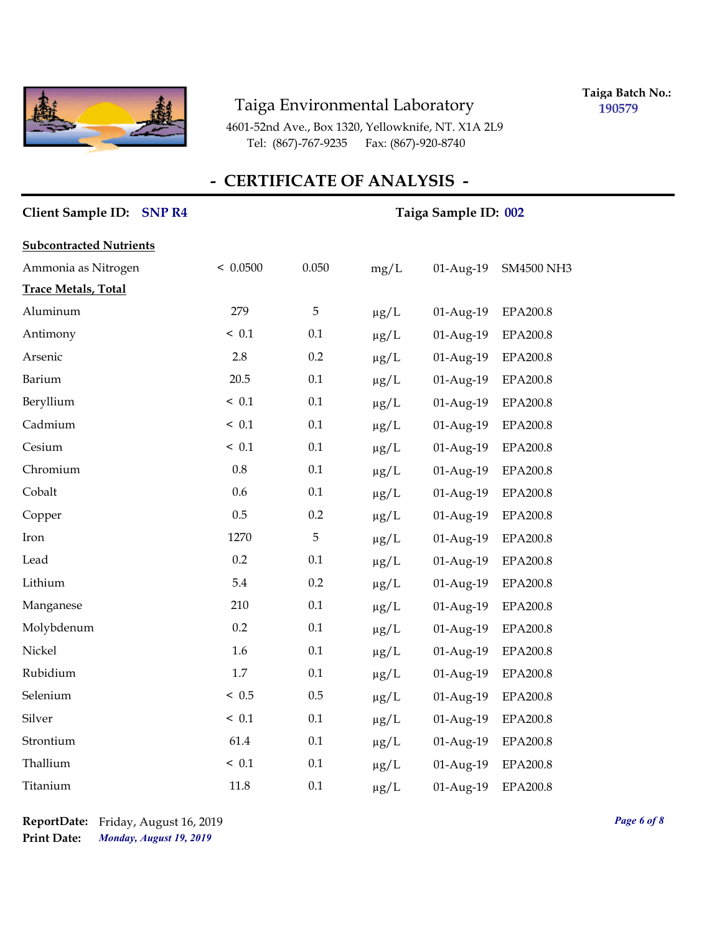

**Taiga Batch No.: 190579**

4601-52nd Ave., Box 1320, Yellowknife, NT. X1A 2L9 Tel: (867)-767-9235 Fax: (867)-920-8740

#### **- CERTIFICATE OF ANALYSIS -**

# **Client Sample ID: Taiga Sample ID: SNP R4 002 Subcontracted Nutrients** Ammonia as Nitrogen < 0.0500 0.050 mg/L 01-Aug-19 SM4500 NH3 **Trace Metals, Total** Aluminum 279 5 µg/L 01-Aug-19 EPA200.8 Antimony < 0.1 0.1 μg/L 01-Aug-19 ΕΡΑ200.8 Arsenic 2.8 0.2 µg/L 01-Aug-19 EPA200.8 Barium 20.5 0.1 μg/L 01-Aug-19 EPA200.8 Beryllium < 0.1 0.1 μg/L 01-Aug-19 EPA200.8 Cadmium < 0.1 0.1  $\mu$ g/L 01-Aug-19 EPA200.8 Cesium < 0.1 0.1 µg/L 01-Aug-19 EPA200.8 Chromium 0.8 0.1 µg/L 01-Aug-19 EPA200.8 Cobalt 0.6 0.1 μg/L 01-Aug-19 EPA200.8 Copper 0.5 0.2 μg/L 01-Aug-19 EPA200.8 Iron 1270 5 μg/L 01-Aug-19 EPA200.8 Lead 0.2 0.1 μg/L 01-Aug-19 EPA200.8 Lithium 5.4 0.2 µg/L 01-Aug-19 EPA200.8 Manganese 210 0.1 μg/L 01-Aug-19 EPA200.8 Molybdenum 0.2 0.1 µg/L 01-Aug-19 EPA200.8 Nickel 1.6 0.1 μg/L 01-Aug-19 ΕΡΑ200.8 Rubidium 1.7 0.1 µg/L 01-Aug-19 EPA200.8 Selenium < 0.5 0.5 μg/L 01-Aug-19 EPA200.8 Silver < 0.1 0.1  $\mu$ g/L 01-Aug-19 EPA200.8 Strontium 61.4 0.1  $\mu$ g/L 01-Aug-19 EPA200.8 Thallium < 0.1 0.1 µg/L 01-Aug-19 EPA200.8 Titanium 11.8 0.1  $\mu$ g/L 01-Aug-19 EPA200.8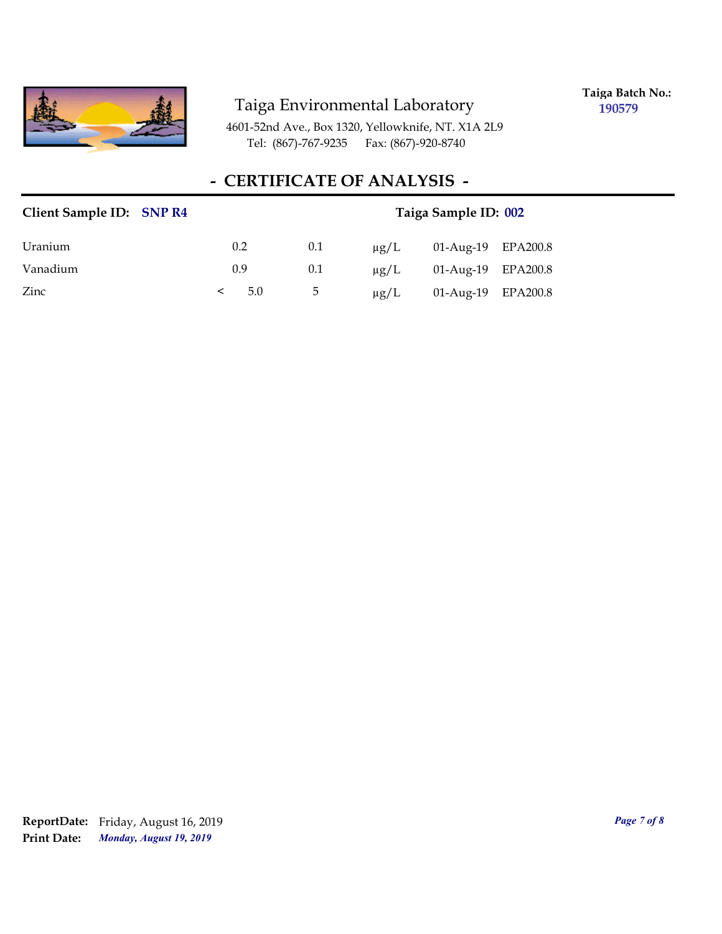

**Taiga Batch No.: 190579**

4601-52nd Ave., Box 1320, Yellowknife, NT. X1A 2L9 Tel: (867)-767-9235 Fax: (867)-920-8740

### **- CERTIFICATE OF ANALYSIS -**

| Client Sample ID: SNP R4 | Taiga Sample ID: 002 |     |           |                    |  |
|--------------------------|----------------------|-----|-----------|--------------------|--|
| Uranium                  | 0.2                  | 0.1 | $\mu$ g/L | 01-Aug-19 EPA200.8 |  |
| Vanadium                 | 0.9                  | 0.1 | $\mu$ g/L | 01-Aug-19 EPA200.8 |  |
| Zinc                     | 5.0<br>≺             | 5   | $\mu$ g/L | 01-Aug-19 EPA200.8 |  |

*Monday, August 19, 2019* **Print Date: ReportDate:** Friday, August 16, 2019